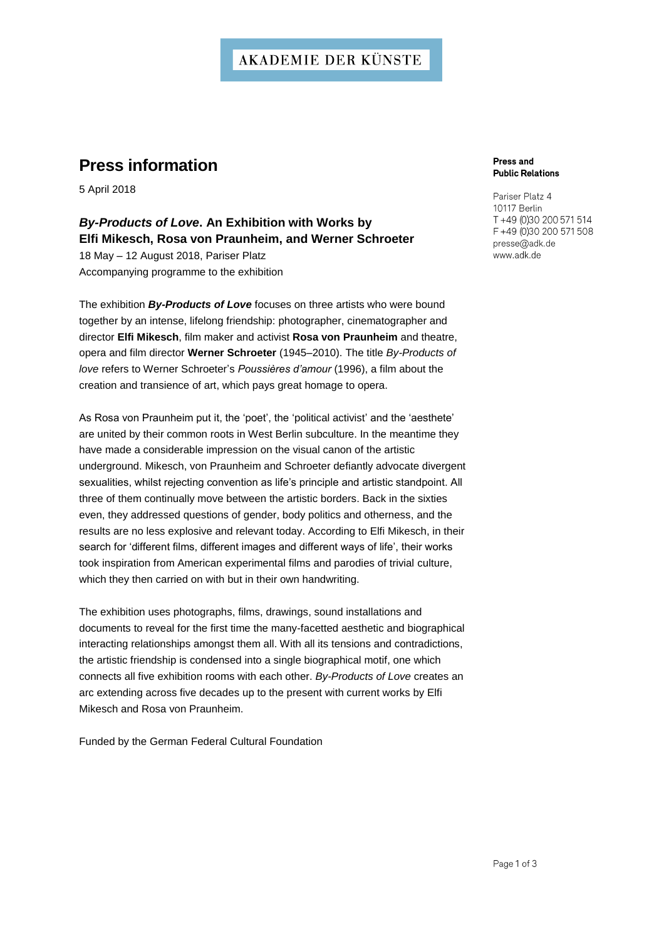## **AKADEMIE DER KÜNSTE**

# **Press information**

5 April 2018

# *By-Products of Love***. An Exhibition with Works by Elfi Mikesch, Rosa von Praunheim, and Werner Schroeter**

18 May – 12 August 2018, Pariser Platz Accompanying programme to the exhibition

The exhibition *By-Products of Love* focuses on three artists who were bound together by an intense, lifelong friendship: photographer, cinematographer and director **Elfi Mikesch**, film maker and activist **Rosa von Praunheim** and theatre, opera and film director **Werner Schroeter** (1945–2010). The title *By-Products of love* refers to Werner Schroeter's *Poussières d'amour* (1996), a film about the creation and transience of art, which pays great homage to opera.

As Rosa von Praunheim put it, the 'poet', the 'political activist' and the 'aesthete' are united by their common roots in West Berlin subculture. In the meantime they have made a considerable impression on the visual canon of the artistic underground. Mikesch, von Praunheim and Schroeter defiantly advocate divergent sexualities, whilst rejecting convention as life's principle and artistic standpoint. All three of them continually move between the artistic borders. Back in the sixties even, they addressed questions of gender, body politics and otherness, and the results are no less explosive and relevant today. According to Elfi Mikesch, in their search for 'different films, different images and different ways of life', their works took inspiration from American experimental films and parodies of trivial culture, which they then carried on with but in their own handwriting.

The exhibition uses photographs, films, drawings, sound installations and documents to reveal for the first time the many-facetted aesthetic and biographical interacting relationships amongst them all. With all its tensions and contradictions, the artistic friendship is condensed into a single biographical motif, one which connects all five exhibition rooms with each other. *By-Products of Love* creates an arc extending across five decades up to the present with current works by Elfi Mikesch and Rosa von Praunheim.

Funded by the German Federal Cultural Foundation

#### **Press and Public Relations**

Pariser Platz 4 10117 Berlin T +49 (0)30 200 571 514 F +49 (0)30 200 571 508 presse@adk.de www.adk.de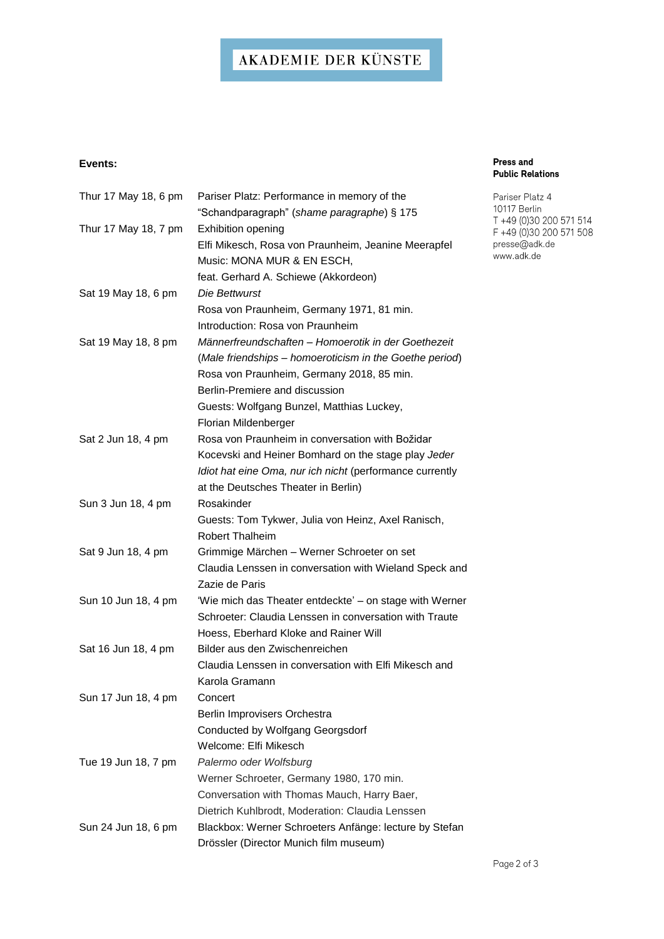# AKADEMIE DER KÜNSTE

## **Events:**

| Thur 17 May 18, 6 pm | Pariser Platz: Performance in memory of the<br>"Schandparagraph" (shame paragraphe) § 175 |
|----------------------|-------------------------------------------------------------------------------------------|
| Thur 17 May 18, 7 pm | Exhibition opening                                                                        |
|                      | Elfi Mikesch, Rosa von Praunheim, Jeanine Meerapfel                                       |
|                      | Music: MONA MUR & EN ESCH,                                                                |
|                      | feat. Gerhard A. Schiewe (Akkordeon)                                                      |
| Sat 19 May 18, 6 pm  | <i>Die Bettwurst</i>                                                                      |
|                      | Rosa von Praunheim, Germany 1971, 81 min.                                                 |
|                      | Introduction: Rosa von Praunheim                                                          |
| Sat 19 May 18, 8 pm  | Männerfreundschaften – Homoerotik in der Goethezeit                                       |
|                      | (Male friendships - homoeroticism in the Goethe period)                                   |
|                      | Rosa von Praunheim, Germany 2018, 85 min.                                                 |
|                      | Berlin-Premiere and discussion                                                            |
|                      | Guests: Wolfgang Bunzel, Matthias Luckey,                                                 |
|                      |                                                                                           |
|                      | Florian Mildenberger<br>Rosa von Praunheim in conversation with Božidar                   |
| Sat 2 Jun 18, 4 pm   |                                                                                           |
|                      | Kocevski and Heiner Bomhard on the stage play Jeder                                       |
|                      | Idiot hat eine Oma, nur ich nicht (performance currently                                  |
|                      | at the Deutsches Theater in Berlin)                                                       |
| Sun 3 Jun 18, 4 pm   | Rosakinder                                                                                |
|                      | Guests: Tom Tykwer, Julia von Heinz, Axel Ranisch,                                        |
|                      | <b>Robert Thalheim</b>                                                                    |
| Sat 9 Jun 18, 4 pm   | Grimmige Märchen - Werner Schroeter on set                                                |
|                      | Claudia Lenssen in conversation with Wieland Speck and                                    |
|                      | Zazie de Paris                                                                            |
| Sun 10 Jun 18, 4 pm  | 'Wie mich das Theater entdeckte' - on stage with Werner                                   |
|                      | Schroeter: Claudia Lenssen in conversation with Traute                                    |
|                      | Hoess, Eberhard Kloke and Rainer Will                                                     |
| Sat 16 Jun 18, 4 pm  | Bilder aus den Zwischenreichen                                                            |
|                      | Claudia Lenssen in conversation with Elfi Mikesch and                                     |
|                      | Karola Gramann                                                                            |
| Sun 17 Jun 18, 4 pm  | Concert                                                                                   |
|                      | Berlin Improvisers Orchestra                                                              |
|                      | Conducted by Wolfgang Georgsdorf                                                          |
|                      | Welcome: Elfi Mikesch                                                                     |
| Tue 19 Jun 18, 7 pm  | Palermo oder Wolfsburg                                                                    |
|                      | Werner Schroeter, Germany 1980, 170 min.                                                  |
|                      | Conversation with Thomas Mauch, Harry Baer,                                               |
|                      | Dietrich Kuhlbrodt, Moderation: Claudia Lenssen                                           |
| Sun 24 Jun 18, 6 pm  | Blackbox: Werner Schroeters Anfänge: lecture by Stefan                                    |
|                      | Drössler (Director Munich film museum)                                                    |

### **Press and Public Relations**

Pariser Platz 4 10117 Berlin 10117 Bertin<br>T +49 (0)30 200 571 514<br>F +49 (0)30 200 571 508<br>presse@adk.de<br>www.adk.de